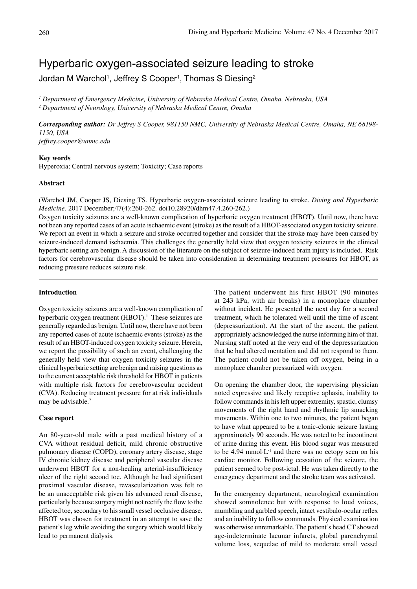# Hyperbaric oxygen-associated seizure leading to stroke

Jordan M Warchol<sup>1</sup>, Jeffrey S Cooper<sup>1</sup>, Thomas S Diesing<sup>2</sup>

*1 Department of Emergency Medicine, University of Nebraska Medical Centre, Omaha, Nebraska, USA 2 Department of Neurology, University of Nebraska Medical Centre, Omaha*

*Corresponding author: Dr Jeffrey S Cooper, 981150 NMC, University of Nebraska Medical Centre, Omaha, NE 68198- 1150, USA jeffrey.cooper@unmc.edu*

#### **Key words**

Hyperoxia; Central nervous system; Toxicity; Case reports

# **Abstract**

(Warchol JM, Cooper JS, Diesing TS. Hyperbaric oxygen-associated seizure leading to stroke. *Diving and Hyperbaric Medicine*. 2017 December;47(4):260-262. doi10.28920/dhm47.4.260-262.)

Oxygen toxicity seizures are a well-known complication of hyperbaric oxygen treatment (HBOT). Until now, there have not been any reported cases of an acute ischaemic event (stroke) as the result of a HBOT-associated oxygen toxicity seizure. We report an event in which a seizure and stroke occurred together and consider that the stroke may have been caused by seizure-induced demand ischaemia. This challenges the generally held view that oxygen toxicity seizures in the clinical hyperbaric setting are benign. A discussion of the literature on the subject of seizure-induced brain injury is included. Risk factors for cerebrovascular disease should be taken into consideration in determining treatment pressures for HBOT, as reducing pressure reduces seizure risk.

## **Introduction**

Oxygen toxicity seizures are a well-known complication of hyperbaric oxygen treatment  $(HBOT)^1$ . These seizures are generally regarded as benign. Until now, there have not been any reported cases of acute ischaemic events (stroke) as the result of an HBOT-induced oxygen toxicity seizure. Herein, we report the possibility of such an event, challenging the generally held view that oxygen toxicity seizures in the clinical hyperbaric setting are benign and raising questions as to the current acceptable risk threshold for HBOT in patients with multiple risk factors for cerebrovascular accident (CVA). Reducing treatment pressure for at risk individuals may be advisable.2

# **Case report**

An 80-year-old male with a past medical history of a CVA without residual deficit, mild chronic obstructive pulmonary disease (COPD), coronary artery disease, stage IV chronic kidney disease and peripheral vascular disease underwent HBOT for a non-healing arterial-insufficiency ulcer of the right second toe. Although he had significant proximal vascular disease, revascularization was felt to be an unacceptable risk given his advanced renal disease, particularly because surgery might not rectify the flow to the affected toe, secondary to his small vessel occlusive disease. HBOT was chosen for treatment in an attempt to save the patient's leg while avoiding the surgery which would likely lead to permanent dialysis.

The patient underwent his first HBOT (90 minutes at 243 kPa, with air breaks) in a monoplace chamber without incident. He presented the next day for a second treatment, which he tolerated well until the time of ascent (depressurization). At the start of the ascent, the patient appropriately acknowledged the nurse informing him of that. Nursing staff noted at the very end of the depressurization that he had altered mentation and did not respond to them. The patient could not be taken off oxygen, being in a monoplace chamber pressurized with oxygen.

On opening the chamber door, the supervising physician noted expressive and likely receptive aphasia, inability to follow commands in his left upper extremity, spastic, clumsy movements of the right hand and rhythmic lip smacking movements. Within one to two minutes, the patient began to have what appeared to be a tonic-clonic seizure lasting approximately 90 seconds. He was noted to be incontinent of urine during this event. His blood sugar was measured to be 4.94 mmol∙L-1 and there was no ectopy seen on his cardiac monitor. Following cessation of the seizure, the patient seemed to be post-ictal. He was taken directly to the emergency department and the stroke team was activated.

In the emergency department, neurological examination showed somnolence but with response to loud voices, mumbling and garbled speech, intact vestibulo-ocular reflex and an inability to follow commands. Physical examination was otherwise unremarkable. The patient's head CT showed age-indeterminate lacunar infarcts, global parenchymal volume loss, sequelae of mild to moderate small vessel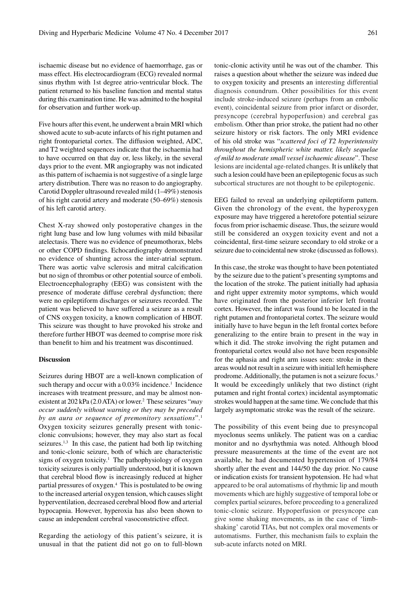ischaemic disease but no evidence of haemorrhage, gas or mass effect. His electrocardiogram (ECG) revealed normal sinus rhythm with 1st degree atrio-ventricular block. The patient returned to his baseline function and mental status during this examination time. He was admitted to the hospital for observation and further work-up.

Five hours after this event, he underwent a brain MRI which showed acute to sub-acute infarcts of his right putamen and right frontoparietal cortex. The diffusion weighted, ADC, and T2 weighted sequences indicate that the ischaemia had to have occurred on that day or, less likely, in the several days prior to the event. MR angiography was not indicated as this pattern of ischaemia is not suggestive of a single large artery distribution. There was no reason to do angiography. Carotid Doppler ultrasound revealed mild (1–49%) stenosis of his right carotid artery and moderate (50–69%) stenosis of his left carotid artery.

Chest X-ray showed only postoperative changes in the right lung base and low lung volumes with mild bibasilar atelectasis. There was no evidence of pneumothorax, blebs or other COPD findings. Echocardiography demonstrated no evidence of shunting across the inter-atrial septum. There was aortic valve sclerosis and mitral calcification but no sign of thrombus or other potential source of emboli. Electroencephalography (EEG) was consistent with the presence of moderate diffuse cerebral dysfunction; there were no epileptiform discharges or seizures recorded. The patient was believed to have suffered a seizure as a result of CNS oxygen toxicity, a known complication of HBOT. This seizure was thought to have provoked his stroke and therefore further HBOT was deemed to comprise more risk than benefit to him and his treatment was discontinued.

#### **Discussion**

Seizures during HBOT are a well-known complication of such therapy and occur with a  $0.03\%$  incidence.<sup>1</sup> Incidence increases with treatment pressure, and may be almost nonexistent at 202 kPa (2.0 ATA) or lower.2 These seizures "*may occur suddenly without warning or they may be preceded by an aura or sequence of premonitory sensations*".1 Oxygen toxicity seizures generally present with tonicclonic convulsions; however, they may also start as focal seizures.<sup>1,3</sup> In this case, the patient had both lip twitching and tonic-clonic seizure, both of which are characteristic signs of oxygen toxicity.<sup>1</sup> The pathophysiology of oxygen toxicity seizures is only partially understood, but it is known that cerebral blood flow is increasingly reduced at higher partial pressures of oxygen.4 This is postulated to be owing to the increased arterial oxygen tension, which causes slight hyperventilation, decreased cerebral blood flow and arterial hypocapnia. However, hyperoxia has also been shown to cause an independent cerebral vasoconstrictive effect.

Regarding the aetiology of this patient's seizure, it is unusual in that the patient did not go on to full-blown tonic-clonic activity until he was out of the chamber. This raises a question about whether the seizure was indeed due to oxygen toxicity and presents an interesting differential diagnosis conundrum. Other possibilities for this event include stroke-induced seizure (perhaps from an embolic event), coincidental seizure from prior infarct or disorder, presyncope (cerebral hypoperfusion) and cerebral gas embolism. Other than prior stroke, the patient had no other seizure history or risk factors. The only MRI evidence of his old stroke was "*scattered foci of T2 hyperintensity throughout the hemispheric white matter, likely sequelae of mild to moderate small vessel ischaemic disease*". These lesions are incidental age-related changes. It is unlikely that such a lesion could have been an epileptogenic focus as such subcortical structures are not thought to be epileptogenic.

EEG failed to reveal an underlying epileptiform pattern. Given the chronology of the event, the hyperoxygen exposure may have triggered a heretofore potential seizure focus from prior ischaemic disease. Thus, the seizure would still be considered an oxygen toxicity event and not a coincidental, first-time seizure secondary to old stroke or a seizure due to coincidental new stroke (discussed as follows).

In this case, the stroke was thought to have been potentiated by the seizure due to the patient's presenting symptoms and the location of the stroke. The patient initially had aphasia and right upper extremity motor symptoms, which would have originated from the posterior inferior left frontal cortex. However, the infarct was found to be located in the right putamen and frontoparietal cortex. The seizure would initially have to have begun in the left frontal cortex before generalizing to the entire brain to present in the way in which it did. The stroke involving the right putamen and frontoparietal cortex would also not have been responsible for the aphasia and right arm issues seen: stroke in these areas would not result in a seizure with initial left hemisphere prodrome. Additionally, the putamen is not a seizure focus.5 It would be exceedingly unlikely that two distinct (right putamen and right frontal cortex) incidental asymptomatic strokes would happen at the same time. We conclude that this largely asymptomatic stroke was the result of the seizure.

The possibility of this event being due to presyncopal myoclonus seems unlikely. The patient was on a cardiac monitor and no dysrhythmia was noted. Although blood pressure measurements at the time of the event are not available, he had documented hypertension of 179/84 shortly after the event and 144/50 the day prior. No cause or indication exists for transient hypotension. He had what appeared to be oral automatisms of rhythmic lip and mouth movements which are highly suggestive of temporal lobe or complex partial seizures, before proceeding to a generalized tonic-clonic seizure. Hypoperfusion or presyncope can give some shaking movements, as in the case of 'limbshaking' carotid TIAs, but not complex oral movements or automatisms. Further, this mechanism fails to explain the sub-acute infarcts noted on MRI.